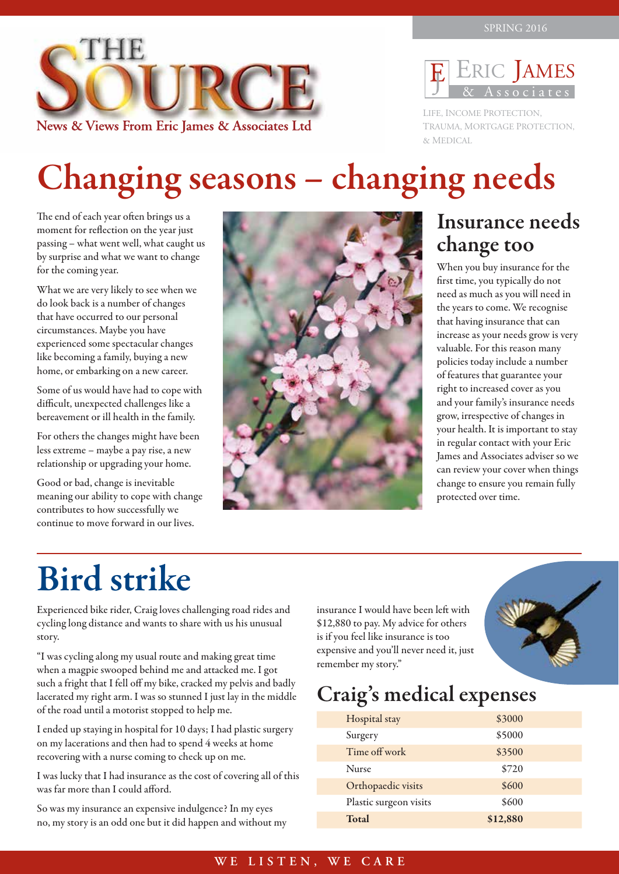



LIFE, INCOME PROTECTION, TRAUMA, MORTGAGE PROTECTION, & MEDICAL

## Changing seasons – changing needs

The end of each year often brings us a moment for reflection on the year just passing – what went well, what caught us by surprise and what we want to change for the coming year.

What we are very likely to see when we do look back is a number of changes that have occurred to our personal circumstances. Maybe you have experienced some spectacular changes like becoming a family, buying a new home, or embarking on a new career.

Some of us would have had to cope with difficult, unexpected challenges like a bereavement or ill health in the family.

For others the changes might have been less extreme – maybe a pay rise, a new relationship or upgrading your home.

Good or bad, change is inevitable meaning our ability to cope with change contributes to how successfully we continue to move forward in our lives.



### Insurance needs change too

When you buy insurance for the first time, you typically do not need as much as you will need in the years to come. We recognise that having insurance that can increase as your needs grow is very valuable. For this reason many policies today include a number of features that guarantee your right to increased cover as you and your family's insurance needs grow, irrespective of changes in your health. It is important to stay in regular contact with your Eric James and Associates adviser so we can review your cover when things change to ensure you remain fully protected over time.

## Bird strike

Experienced bike rider, Craig loves challenging road rides and cycling long distance and wants to share with us his unusual story.

"I was cycling along my usual route and making great time when a magpie swooped behind me and attacked me. I got such a fright that I fell off my bike, cracked my pelvis and badly lacerated my right arm. I was so stunned I just lay in the middle of the road until a motorist stopped to help me.

I ended up staying in hospital for 10 days; I had plastic surgery on my lacerations and then had to spend 4 weeks at home recovering with a nurse coming to check up on me.

I was lucky that I had insurance as the cost of covering all of this was far more than I could afford.

So was my insurance an expensive indulgence? In my eyes no, my story is an odd one but it did happen and without my insurance I would have been left with \$12,880 to pay. My advice for others is if you feel like insurance is too expensive and you'll never need it, just remember my story."



## Craig's medical expenses

| Hospital stay          | \$3000   |  |
|------------------------|----------|--|
| Surgery                | \$5000   |  |
| Time off work          | \$3500   |  |
| <b>Nurse</b>           | \$720    |  |
| Orthopaedic visits     | \$600    |  |
| Plastic surgeon visits | \$600    |  |
| Total                  | \$12,880 |  |
|                        |          |  |

#### **WE LISTEN, WE CARE**